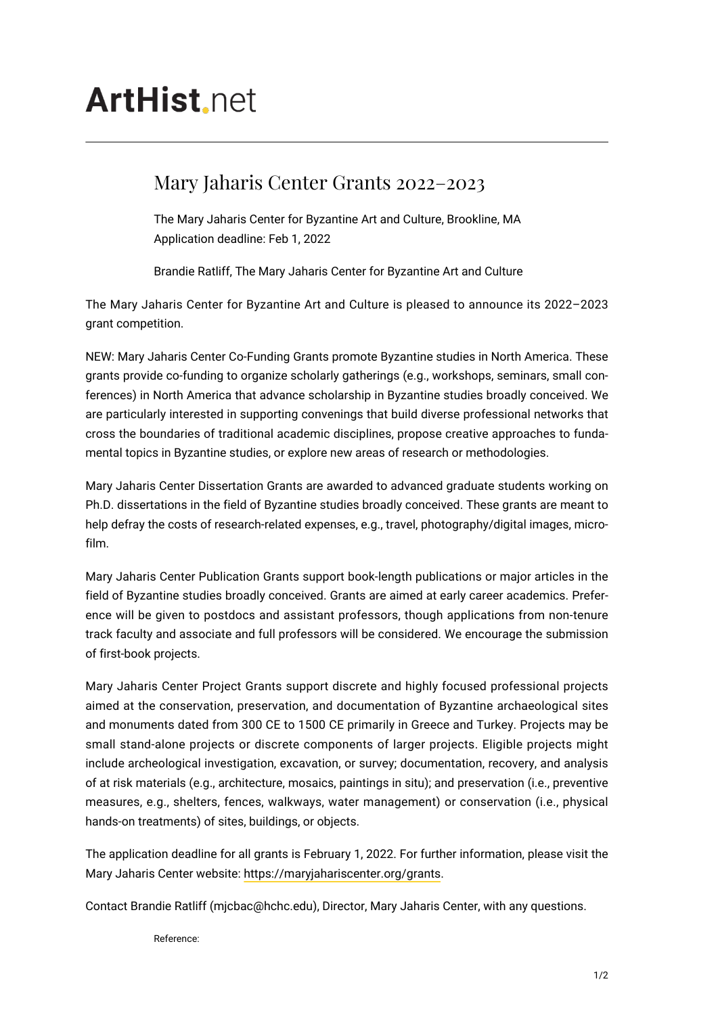## **ArtHist** net

## Mary Jaharis Center Grants 2022–2023

The Mary Jaharis Center for Byzantine Art and Culture, Brookline, MA Application deadline: Feb 1, 2022

Brandie Ratliff, The Mary Jaharis Center for Byzantine Art and Culture

The Mary Jaharis Center for Byzantine Art and Culture is pleased to announce its 2022–2023 grant competition.

NEW: Mary Jaharis Center Co-Funding Grants promote Byzantine studies in North America. These grants provide co-funding to organize scholarly gatherings (e.g., workshops, seminars, small conferences) in North America that advance scholarship in Byzantine studies broadly conceived. We are particularly interested in supporting convenings that build diverse professional networks that cross the boundaries of traditional academic disciplines, propose creative approaches to fundamental topics in Byzantine studies, or explore new areas of research or methodologies.

Mary Jaharis Center Dissertation Grants are awarded to advanced graduate students working on Ph.D. dissertations in the field of Byzantine studies broadly conceived. These grants are meant to help defray the costs of research-related expenses, e.g., travel, photography/digital images, microfilm.

Mary Jaharis Center Publication Grants support book-length publications or major articles in the field of Byzantine studies broadly conceived. Grants are aimed at early career academics. Preference will be given to postdocs and assistant professors, though applications from non-tenure track faculty and associate and full professors will be considered. We encourage the submission of first-book projects.

Mary Jaharis Center Project Grants support discrete and highly focused professional projects aimed at the conservation, preservation, and documentation of Byzantine archaeological sites and monuments dated from 300 CE to 1500 CE primarily in Greece and Turkey. Projects may be small stand-alone projects or discrete components of larger projects. Eligible projects might include archeological investigation, excavation, or survey; documentation, recovery, and analysis of at risk materials (e.g., architecture, mosaics, paintings in situ); and preservation (i.e., preventive measures, e.g., shelters, fences, walkways, water management) or conservation (i.e., physical hands-on treatments) of sites, buildings, or objects.

The application deadline for all grants is February 1, 2022. For further information, please visit the Mary Jaharis Center website: [https://maryjahariscenter.org/grants.](https://maryjahariscenter.org/grants)

Contact Brandie Ratliff (mjcbac@hchc.edu), Director, Mary Jaharis Center, with any questions.

Reference: